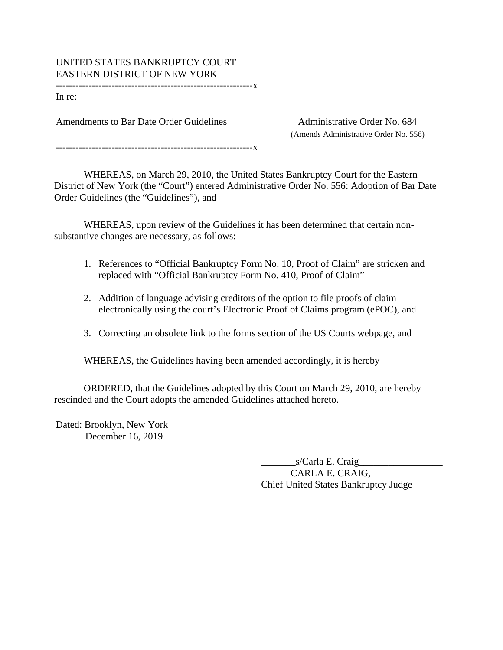# UNITED STATES BANKRUPTCY COURT EASTERN DISTRICT OF NEW YORK

------------------------------------------------------------x

In re:

Amendments to Bar Date Order Guidelines Administrative Order No. 684

(Amends Administrative Order No. 556)

------------------------------------------------------------x

WHEREAS, on March 29, 2010, the United States Bankruptcy Court for the Eastern District of New York (the "Court") entered Administrative Order No. 556: Adoption of Bar Date Order Guidelines (the "Guidelines"), and

WHEREAS, upon review of the Guidelines it has been determined that certain nonsubstantive changes are necessary, as follows:

- 1. References to "Official Bankruptcy Form No. 10, Proof of Claim" are stricken and replaced with "Official Bankruptcy Form No. 410, Proof of Claim"
- 2. Addition of language advising creditors of the option to file proofs of claim electronically using the court's Electronic Proof of Claims program (ePOC), and
- 3. Correcting an obsolete link to the forms section of the US Courts webpage, and

WHEREAS, the Guidelines having been amended accordingly, it is hereby

ORDERED, that the Guidelines adopted by this Court on March 29, 2010, are hereby rescinded and the Court adopts the amended Guidelines attached hereto.

Dated: Brooklyn, New York December 16, 2019

\_\_\_\_\_\_\_s/Carla E. Craig\_\_\_\_\_\_\_\_\_\_\_\_\_\_\_\_\_

CARLA E. CRAIG, Chief United States Bankruptcy Judge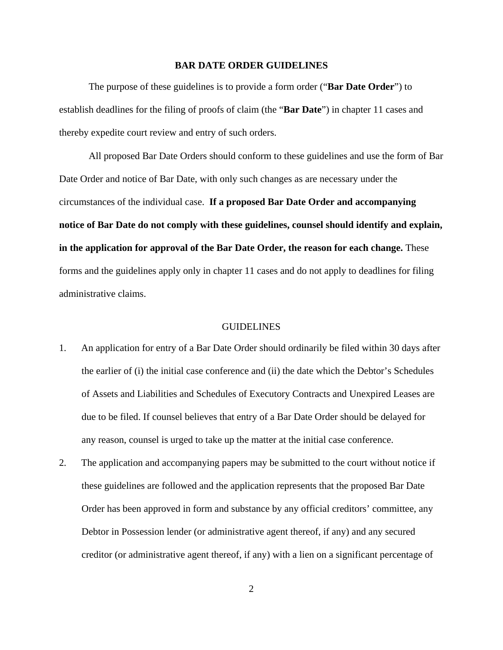#### **BAR DATE ORDER GUIDELINES**

The purpose of these guidelines is to provide a form order ("**Bar Date Order**") to establish deadlines for the filing of proofs of claim (the "**Bar Date**") in chapter 11 cases and thereby expedite court review and entry of such orders.

All proposed Bar Date Orders should conform to these guidelines and use the form of Bar Date Order and notice of Bar Date, with only such changes as are necessary under the circumstances of the individual case. **If a proposed Bar Date Order and accompanying notice of Bar Date do not comply with these guidelines, counsel should identify and explain, in the application for approval of the Bar Date Order, the reason for each change.** These forms and the guidelines apply only in chapter 11 cases and do not apply to deadlines for filing administrative claims.

#### GUIDELINES

- 1. An application for entry of a Bar Date Order should ordinarily be filed within 30 days after the earlier of (i) the initial case conference and (ii) the date which the Debtor's Schedules of Assets and Liabilities and Schedules of Executory Contracts and Unexpired Leases are due to be filed. If counsel believes that entry of a Bar Date Order should be delayed for any reason, counsel is urged to take up the matter at the initial case conference.
- 2. The application and accompanying papers may be submitted to the court without notice if these guidelines are followed and the application represents that the proposed Bar Date Order has been approved in form and substance by any official creditors' committee, any Debtor in Possession lender (or administrative agent thereof, if any) and any secured creditor (or administrative agent thereof, if any) with a lien on a significant percentage of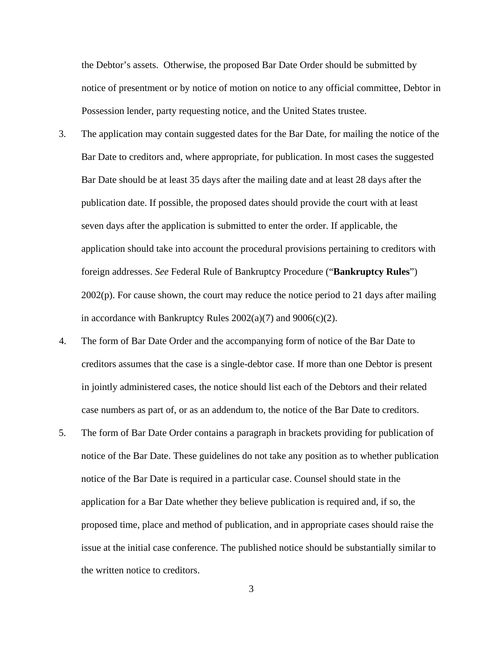the Debtor's assets. Otherwise, the proposed Bar Date Order should be submitted by notice of presentment or by notice of motion on notice to any official committee, Debtor in Possession lender, party requesting notice, and the United States trustee.

- 3. The application may contain suggested dates for the Bar Date, for mailing the notice of the Bar Date to creditors and, where appropriate, for publication. In most cases the suggested Bar Date should be at least 35 days after the mailing date and at least 28 days after the publication date. If possible, the proposed dates should provide the court with at least seven days after the application is submitted to enter the order. If applicable, the application should take into account the procedural provisions pertaining to creditors with foreign addresses. *See* Federal Rule of Bankruptcy Procedure ("**Bankruptcy Rules**") 2002(p). For cause shown, the court may reduce the notice period to 21 days after mailing in accordance with Bankruptcy Rules  $2002(a)(7)$  and  $9006(c)(2)$ .
- 4. The form of Bar Date Order and the accompanying form of notice of the Bar Date to creditors assumes that the case is a single-debtor case. If more than one Debtor is present in jointly administered cases, the notice should list each of the Debtors and their related case numbers as part of, or as an addendum to, the notice of the Bar Date to creditors.
- 5. The form of Bar Date Order contains a paragraph in brackets providing for publication of notice of the Bar Date. These guidelines do not take any position as to whether publication notice of the Bar Date is required in a particular case. Counsel should state in the application for a Bar Date whether they believe publication is required and, if so, the proposed time, place and method of publication, and in appropriate cases should raise the issue at the initial case conference. The published notice should be substantially similar to the written notice to creditors.

3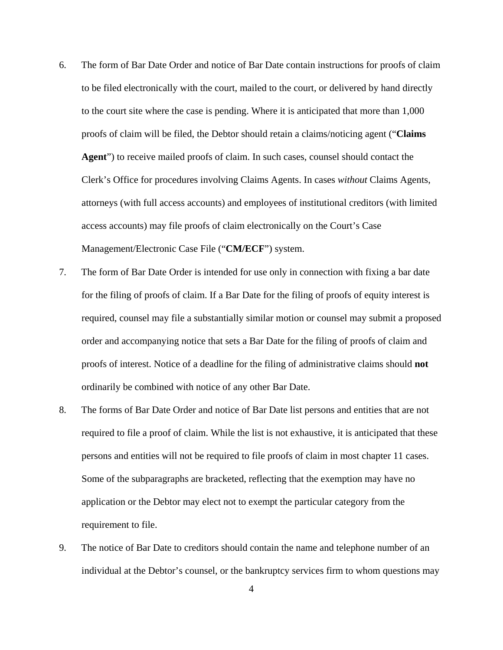- 6. The form of Bar Date Order and notice of Bar Date contain instructions for proofs of claim to be filed electronically with the court, mailed to the court, or delivered by hand directly to the court site where the case is pending. Where it is anticipated that more than 1,000 proofs of claim will be filed, the Debtor should retain a claims/noticing agent ("**Claims Agent**") to receive mailed proofs of claim. In such cases, counsel should contact the Clerk's Office for procedures involving Claims Agents. In cases *without* Claims Agents, attorneys (with full access accounts) and employees of institutional creditors (with limited access accounts) may file proofs of claim electronically on the Court's Case Management/Electronic Case File ("**CM/ECF**") system.
- 7. The form of Bar Date Order is intended for use only in connection with fixing a bar date for the filing of proofs of claim. If a Bar Date for the filing of proofs of equity interest is required, counsel may file a substantially similar motion or counsel may submit a proposed order and accompanying notice that sets a Bar Date for the filing of proofs of claim and proofs of interest. Notice of a deadline for the filing of administrative claims should **not**  ordinarily be combined with notice of any other Bar Date.
- 8. The forms of Bar Date Order and notice of Bar Date list persons and entities that are not required to file a proof of claim. While the list is not exhaustive, it is anticipated that these persons and entities will not be required to file proofs of claim in most chapter 11 cases. Some of the subparagraphs are bracketed, reflecting that the exemption may have no application or the Debtor may elect not to exempt the particular category from the requirement to file.
- 9. The notice of Bar Date to creditors should contain the name and telephone number of an individual at the Debtor's counsel, or the bankruptcy services firm to whom questions may

4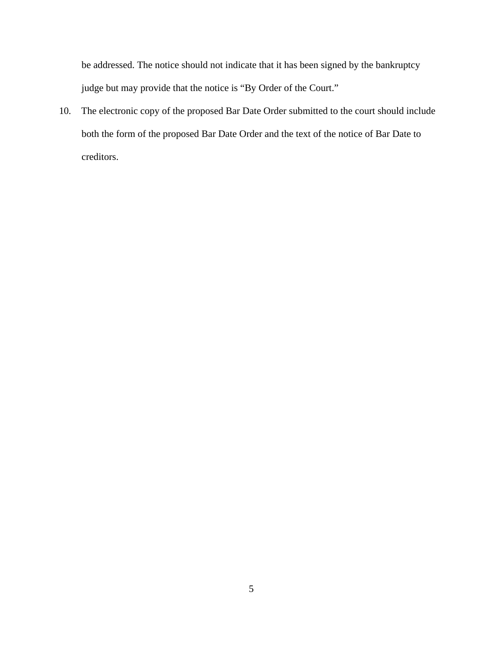be addressed. The notice should not indicate that it has been signed by the bankruptcy judge but may provide that the notice is "By Order of the Court."

10. The electronic copy of the proposed Bar Date Order submitted to the court should include both the form of the proposed Bar Date Order and the text of the notice of Bar Date to creditors.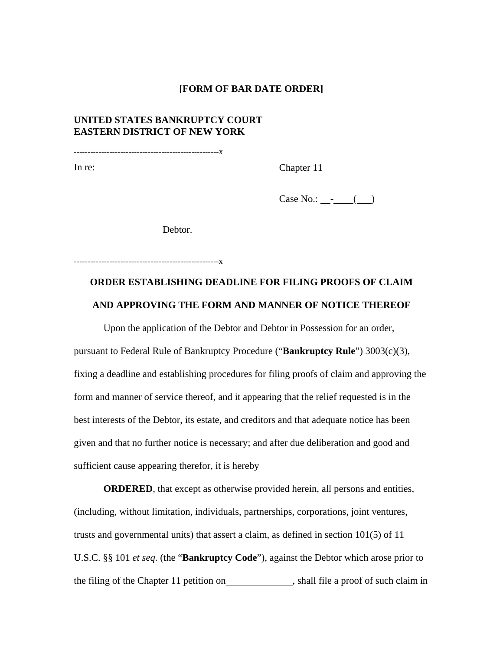#### **[FORM OF BAR DATE ORDER]**

#### **UNITED STATES BANKRUPTCY COURT EASTERN DISTRICT OF NEW YORK**

-----------------------------------------------------x

In re:

Chapter 11

Case No.: - ( )

Debtor.

-----------------------------------------------------x

# **ORDER ESTABLISHING DEADLINE FOR FILING PROOFS OF CLAIM AND APPROVING THE FORM AND MANNER OF NOTICE THEREOF**

Upon the application of the Debtor and Debtor in Possession for an order, pursuant to Federal Rule of Bankruptcy Procedure ("**Bankruptcy Rule**") 3003(c)(3), fixing a deadline and establishing procedures for filing proofs of claim and approving the form and manner of service thereof, and it appearing that the relief requested is in the best interests of the Debtor, its estate, and creditors and that adequate notice has been given and that no further notice is necessary; and after due deliberation and good and sufficient cause appearing therefor, it is hereby

**ORDERED**, that except as otherwise provided herein, all persons and entities, (including, without limitation, individuals, partnerships, corporations, joint ventures, trusts and governmental units) that assert a claim, as defined in section 101(5) of 11 U.S.C. §§ 101 *et seq.* (the "**Bankruptcy Code**"), against the Debtor which arose prior to the filing of the Chapter 11 petition on , shall file a proof of such claim in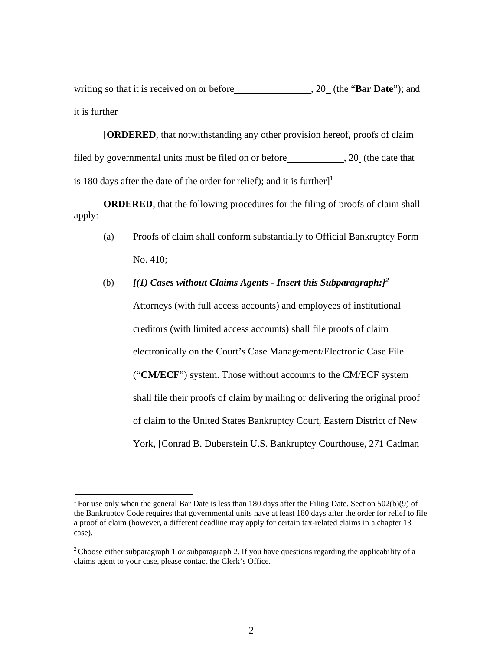writing so that it is received on or before , 20 (the "**Bar Date**"); and it is further

[**ORDERED**, that notwithstanding any other provision hereof, proofs of claim filed by governmental units must be filed on or before , 20 (the date that is 180 days after the date of the order for relief); and it is further $]$ <sup>1</sup>

apply: **ORDERED**, that the following procedures for the filing of proofs of claim shall

(a) Proofs of claim shall conform substantially to Official Bankruptcy Form No. 410;

#### (b)  $[(1)$  Cases without Claims Agents - Insert this Subparagraph:  $]^2$

Attorneys (with full access accounts) and employees of institutional creditors (with limited access accounts) shall file proofs of claim electronically on the Court's Case Management/Electronic Case File ("**CM/ECF**") system. Those without accounts to the CM/ECF system shall file their proofs of claim by mailing or delivering the original proof of claim to the United States Bankruptcy Court, Eastern District of New York, [Conrad B. Duberstein U.S. Bankruptcy Courthouse, 271 Cadman

<sup>&</sup>lt;sup>1</sup> For use only when the general Bar Date is less than 180 days after the Filing Date. Section 502(b)(9) of the Bankruptcy Code requires that governmental units have at least 180 days after the order for relief to file a proof of claim (however, a different deadline may apply for certain tax-related claims in a chapter 13 case).

<sup>2</sup> Choose either subparagraph 1 *or* subparagraph 2. If you have questions regarding the applicability of a claims agent to your case, please contact the Clerk's Office.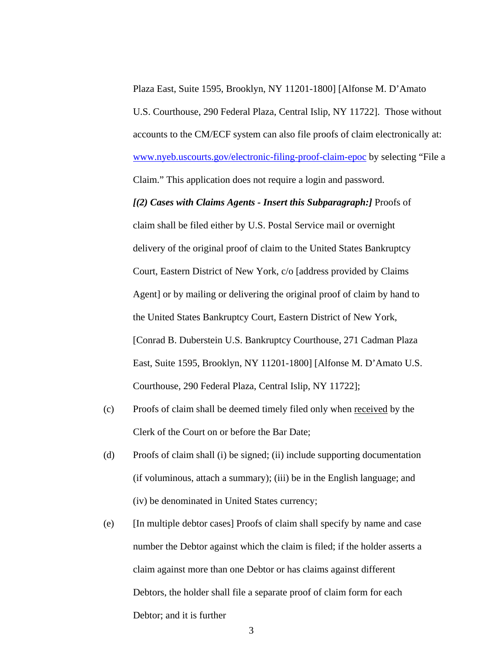Plaza East, Suite 1595, Brooklyn, NY 11201-1800] [Alfonse M. D'Amato U.S. Courthouse, 290 Federal Plaza, Central Islip, NY 11722]. Those without accounts to the CM/ECF system can also file proofs of claim electronically at: www.nyeb.uscourts.gov/electronic-filing-proof-claim-epoc by selecting "File a Claim." This application does not require a login and password.

*[(2) Cases with Claims Agents - Insert this Subparagraph:]* Proofs of claim shall be filed either by U.S. Postal Service mail or overnight delivery of the original proof of claim to the United States Bankruptcy Court, Eastern District of New York, c/o [address provided by Claims Agent] or by mailing or delivering the original proof of claim by hand to the United States Bankruptcy Court, Eastern District of New York, [Conrad B. Duberstein U.S. Bankruptcy Courthouse, 271 Cadman Plaza East, Suite 1595, Brooklyn, NY 11201-1800] [Alfonse M. D'Amato U.S. Courthouse, 290 Federal Plaza, Central Islip, NY 11722];

- (c) Proofs of claim shall be deemed timely filed only when received by the Clerk of the Court on or before the Bar Date;
- (d) Proofs of claim shall (i) be signed; (ii) include supporting documentation (if voluminous, attach a summary); (iii) be in the English language; and (iv) be denominated in United States currency;
- (e) [In multiple debtor cases] Proofs of claim shall specify by name and case number the Debtor against which the claim is filed; if the holder asserts a claim against more than one Debtor or has claims against different Debtors, the holder shall file a separate proof of claim form for each Debtor; and it is further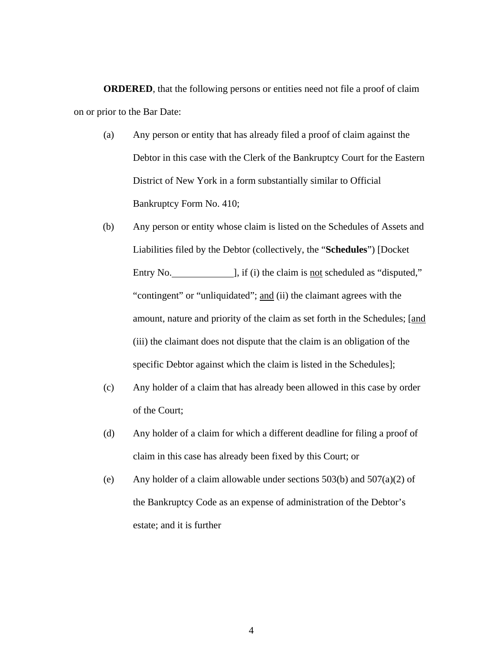**ORDERED**, that the following persons or entities need not file a proof of claim on or prior to the Bar Date:

- (a) Any person or entity that has already filed a proof of claim against the Debtor in this case with the Clerk of the Bankruptcy Court for the Eastern District of New York in a form substantially similar to Official Bankruptcy Form No. 410;
- (b) Any person or entity whose claim is listed on the Schedules of Assets and Liabilities filed by the Debtor (collectively, the "**Schedules**") [Docket Entry No. 1, if (i) the claim is not scheduled as "disputed," "contingent" or "unliquidated"; and (ii) the claimant agrees with the amount, nature and priority of the claim as set forth in the Schedules; [and (iii) the claimant does not dispute that the claim is an obligation of the specific Debtor against which the claim is listed in the Schedules];
- (c) Any holder of a claim that has already been allowed in this case by order of the Court;
- (d) Any holder of a claim for which a different deadline for filing a proof of claim in this case has already been fixed by this Court; or
- (e) Any holder of a claim allowable under sections  $503(b)$  and  $507(a)(2)$  of the Bankruptcy Code as an expense of administration of the Debtor's estate; and it is further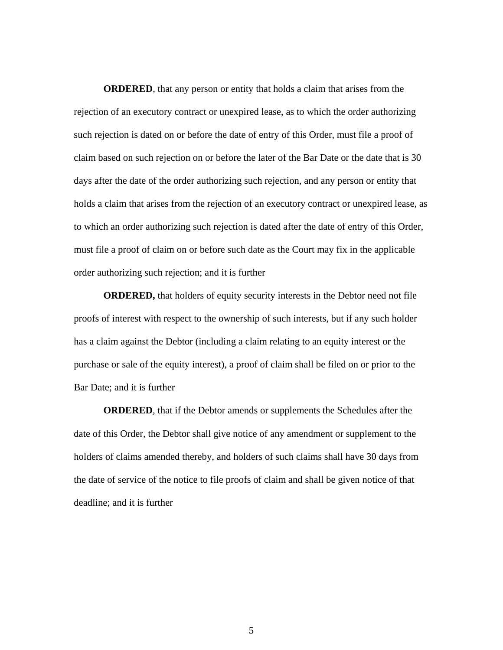**ORDERED**, that any person or entity that holds a claim that arises from the rejection of an executory contract or unexpired lease, as to which the order authorizing such rejection is dated on or before the date of entry of this Order, must file a proof of claim based on such rejection on or before the later of the Bar Date or the date that is 30 days after the date of the order authorizing such rejection, and any person or entity that holds a claim that arises from the rejection of an executory contract or unexpired lease, as to which an order authorizing such rejection is dated after the date of entry of this Order, must file a proof of claim on or before such date as the Court may fix in the applicable order authorizing such rejection; and it is further

**ORDERED,** that holders of equity security interests in the Debtor need not file proofs of interest with respect to the ownership of such interests, but if any such holder has a claim against the Debtor (including a claim relating to an equity interest or the purchase or sale of the equity interest), a proof of claim shall be filed on or prior to the Bar Date; and it is further

**ORDERED**, that if the Debtor amends or supplements the Schedules after the date of this Order, the Debtor shall give notice of any amendment or supplement to the holders of claims amended thereby, and holders of such claims shall have 30 days from the date of service of the notice to file proofs of claim and shall be given notice of that deadline; and it is further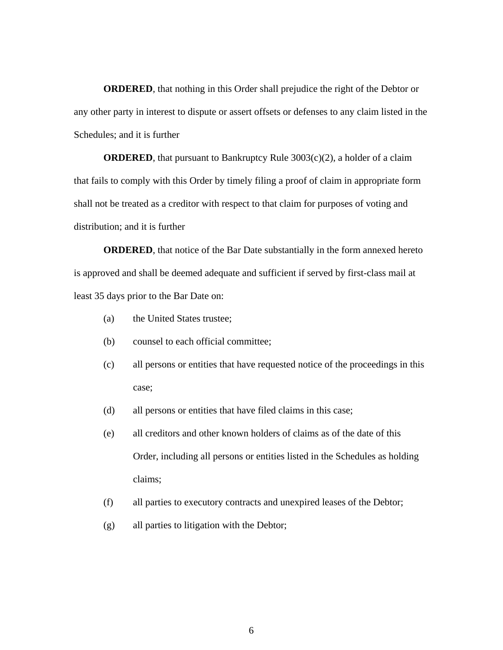**ORDERED**, that nothing in this Order shall prejudice the right of the Debtor or any other party in interest to dispute or assert offsets or defenses to any claim listed in the Schedules; and it is further

**ORDERED**, that pursuant to Bankruptcy Rule  $3003(c)(2)$ , a holder of a claim that fails to comply with this Order by timely filing a proof of claim in appropriate form shall not be treated as a creditor with respect to that claim for purposes of voting and distribution; and it is further

**ORDERED**, that notice of the Bar Date substantially in the form annexed hereto is approved and shall be deemed adequate and sufficient if served by first-class mail at least 35 days prior to the Bar Date on:

- (a) the United States trustee;
- (b) counsel to each official committee;
- (c) all persons or entities that have requested notice of the proceedings in this case;
- (d) all persons or entities that have filed claims in this case;
- (e) all creditors and other known holders of claims as of the date of this Order, including all persons or entities listed in the Schedules as holding claims;
- (f) all parties to executory contracts and unexpired leases of the Debtor;
- (g) all parties to litigation with the Debtor;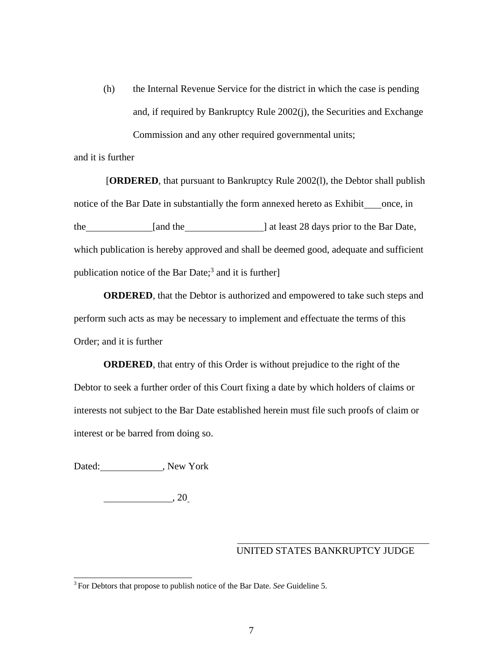(h) the Internal Revenue Service for the district in which the case is pending and, if required by Bankruptcy Rule 2002(j), the Securities and Exchange Commission and any other required governmental units;

and it is further

[**ORDERED**, that pursuant to Bankruptcy Rule 2002(l), the Debtor shall publish notice of the Bar Date in substantially the form annexed hereto as Exhibit once, in the **[and the ]** at least 28 days prior to the Bar Date, which publication is hereby approved and shall be deemed good, adequate and sufficient publication notice of the Bar Date;<sup>3</sup> and it is further]

**ORDERED**, that the Debtor is authorized and empowered to take such steps and perform such acts as may be necessary to implement and effectuate the terms of this Order; and it is further

**ORDERED**, that entry of this Order is without prejudice to the right of the Debtor to seek a further order of this Court fixing a date by which holders of claims or interests not subject to the Bar Date established herein must file such proofs of claim or interest or be barred from doing so.

Dated: New York

 $\overline{\phantom{a}}$ , 20

#### UNITED STATES BANKRUPTCY JUDGE

<sup>3</sup> For Debtors that propose to publish notice of the Bar Date. *See* Guideline 5.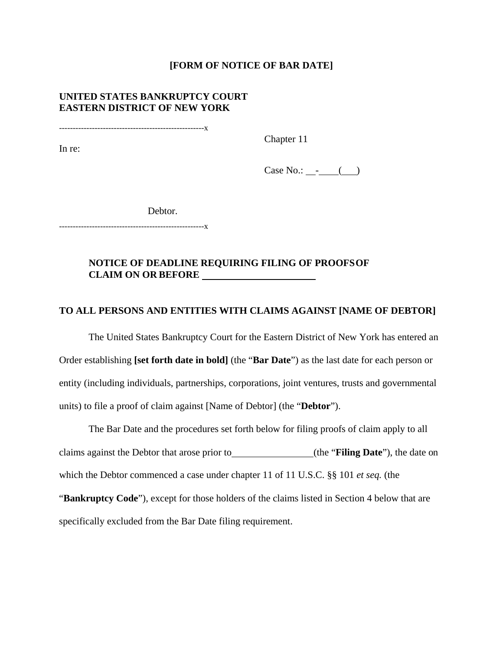#### **[FORM OF NOTICE OF BAR DATE]**

#### **UNITED STATES BANKRUPTCY COURT EASTERN DISTRICT OF NEW YORK**

-----------------------------------------------------x

In re:

Chapter 11

 $Case No.:$   $-(-)$ 

Debtor.

-----------------------------------------------------x

### **NOTICE OF DEADLINE REQUIRING FILING OF PROOFS OF CLAIM ON OR BEFORE**

#### **TO ALL PERSONS AND ENTITIES WITH CLAIMS AGAINST [NAME OF DEBTOR]**

The United States Bankruptcy Court for the Eastern District of New York has entered an Order establishing **[set forth date in bold]** (the "**Bar Date**") as the last date for each person or entity (including individuals, partnerships, corporations, joint ventures, trusts and governmental units) to file a proof of claim against [Name of Debtor] (the "**Debtor**").

The Bar Date and the procedures set forth below for filing proofs of claim apply to all claims against the Debtor that arose prior to (the "**Filing Date**"), the date on which the Debtor commenced a case under chapter 11 of 11 U.S.C. §§ 101 *et seq.* (the "**Bankruptcy Code**"), except for those holders of the claims listed in Section 4 below that are specifically excluded from the Bar Date filing requirement.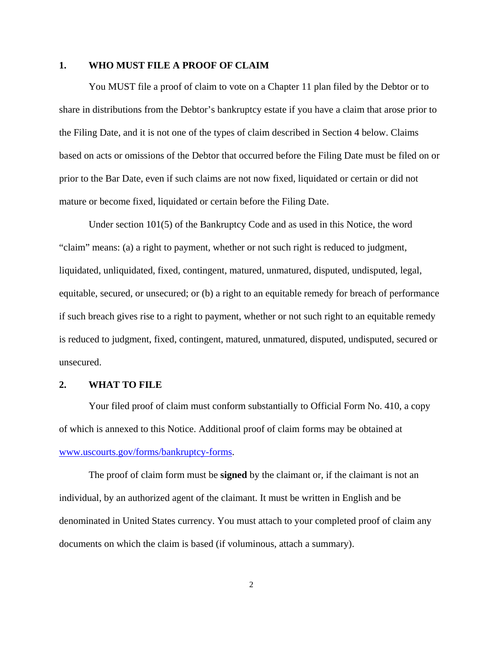#### **1. WHO MUST FILE A PROOF OF CLAIM**

You MUST file a proof of claim to vote on a Chapter 11 plan filed by the Debtor or to share in distributions from the Debtor's bankruptcy estate if you have a claim that arose prior to the Filing Date, and it is not one of the types of claim described in Section 4 below. Claims based on acts or omissions of the Debtor that occurred before the Filing Date must be filed on or prior to the Bar Date, even if such claims are not now fixed, liquidated or certain or did not mature or become fixed, liquidated or certain before the Filing Date.

Under section 101(5) of the Bankruptcy Code and as used in this Notice, the word "claim" means: (a) a right to payment, whether or not such right is reduced to judgment, liquidated, unliquidated, fixed, contingent, matured, unmatured, disputed, undisputed, legal, equitable, secured, or unsecured; or (b) a right to an equitable remedy for breach of performance if such breach gives rise to a right to payment, whether or not such right to an equitable remedy is reduced to judgment, fixed, contingent, matured, unmatured, disputed, undisputed, secured or unsecured.

#### **2. WHAT TO FILE**

Your filed proof of claim must conform substantially to Official Form No. 410, a copy of which is annexed to this Notice. Additional proof of claim forms may be obtained at www.uscourts.gov/forms/bankruptcy-forms.

The proof of claim form must be **signed** by the claimant or, if the claimant is not an individual, by an authorized agent of the claimant. It must be written in English and be denominated in United States currency. You must attach to your completed proof of claim any documents on which the claim is based (if voluminous, attach a summary).

2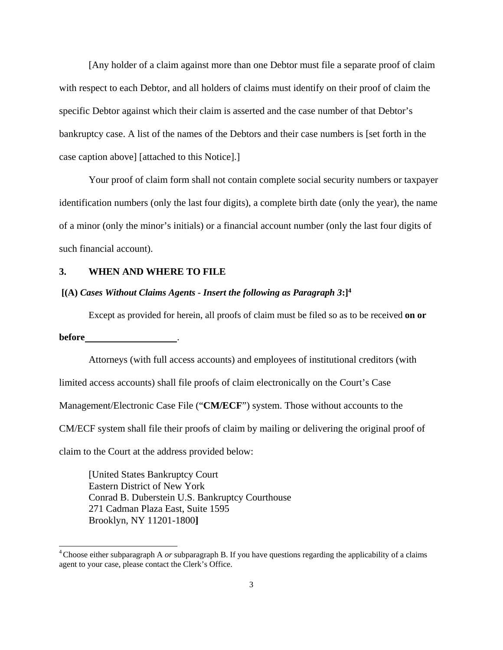[Any holder of a claim against more than one Debtor must file a separate proof of claim with respect to each Debtor, and all holders of claims must identify on their proof of claim the specific Debtor against which their claim is asserted and the case number of that Debtor's bankruptcy case. A list of the names of the Debtors and their case numbers is [set forth in the case caption above] [attached to this Notice].]

Your proof of claim form shall not contain complete social security numbers or taxpayer identification numbers (only the last four digits), a complete birth date (only the year), the name of a minor (only the minor's initials) or a financial account number (only the last four digits of such financial account).

#### **3. WHEN AND WHERE TO FILE**

#### **[(A)** *Cases Without Claims Agents* - *Insert the following as Paragraph 3***:]4**

Except as provided for herein, all proofs of claim must be filed so as to be received **on or** 

#### **before** .

Attorneys (with full access accounts) and employees of institutional creditors (with limited access accounts) shall file proofs of claim electronically on the Court's Case Management/Electronic Case File ("**CM/ECF**") system. Those without accounts to the CM/ECF system shall file their proofs of claim by mailing or delivering the original proof of claim to the Court at the address provided below:

[United States Bankruptcy Court Eastern District of New York Conrad B. Duberstein U.S. Bankruptcy Courthouse 271 Cadman Plaza East, Suite 1595 Brooklyn, NY 11201-1800**]** 

<sup>4</sup> Choose either subparagraph A *or* subparagraph B. If you have questions regarding the applicability of a claims agent to your case, please contact the Clerk's Office.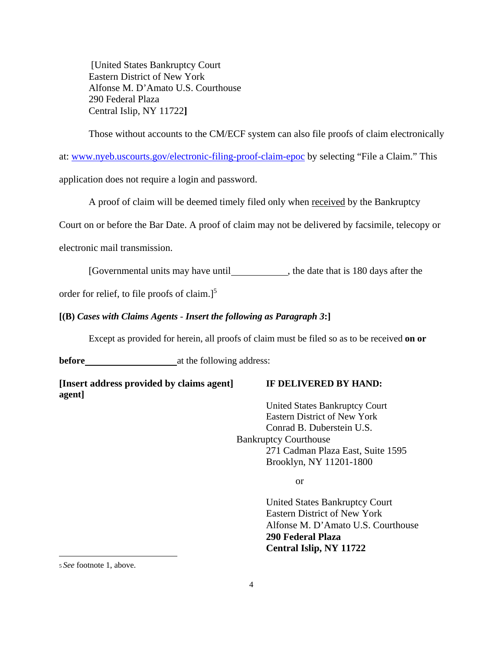[United States Bankruptcy Court Eastern District of New York Alfonse M. D'Amato U.S. Courthouse 290 Federal Plaza Central Islip, NY 11722**]** 

Those without accounts to the CM/ECF system can also file proofs of claim electronically

at: www.nyeb.uscourts.gov/electronic-filing-proof-claim-epoc by selecting "File a Claim." This

application does not require a login and password.

A proof of claim will be deemed timely filed only when received by the Bankruptcy

Court on or before the Bar Date. A proof of claim may not be delivered by facsimile, telecopy or

electronic mail transmission.

[Governmental units may have until , the date that is 180 days after the

order for relief, to file proofs of claim.] $<sup>5</sup>$ </sup>

#### **[(B)** *Cases with Claims Agents* - *Insert the following as Paragraph 3***:]**

Except as provided for herein, all proofs of claim must be filed so as to be received **on or** 

**before** at the following address:

**[Insert address provided by claims agent] IF DELIVERED BY HAND: agent]** 

United States Bankruptcy Court Eastern District of New York Conrad B. Duberstein U.S. Bankruptcy Courthouse 271 Cadman Plaza East, Suite 1595 Brooklyn, NY 11201-1800

or

United States Bankruptcy Court Eastern District of New York Alfonse M. D'Amato U.S. Courthouse **290 Federal Plaza Central Islip, NY 11722** 

<sup>5</sup> *See* footnote 1, above.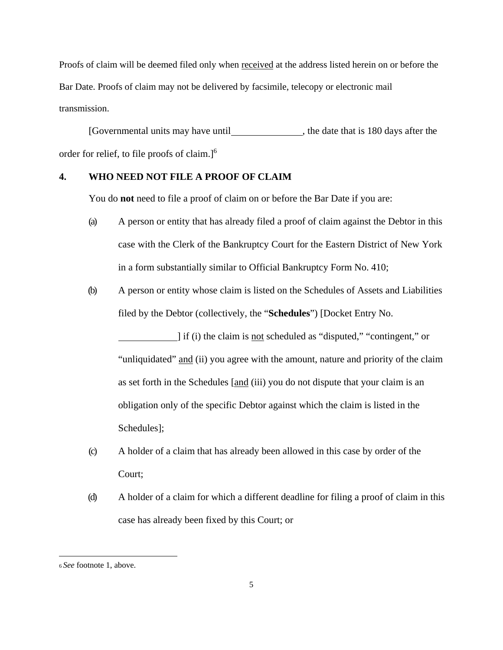Proofs of claim will be deemed filed only when received at the address listed herein on or before the Bar Date. Proofs of claim may not be delivered by facsimile, telecopy or electronic mail transmission.

[Governmental units may have until , the date that is 180 days after the order for relief, to file proofs of claim.]6

### **4. WHO NEED NOT FILE A PROOF OF CLAIM**

You do **not** need to file a proof of claim on or before the Bar Date if you are:

- (a) A person or entity that has already filed a proof of claim against the Debtor in this case with the Clerk of the Bankruptcy Court for the Eastern District of New York in a form substantially similar to Official Bankruptcy Form No. 410;
- (b) A person or entity whose claim is listed on the Schedules of Assets and Liabilities filed by the Debtor (collectively, the "**Schedules**") [Docket Entry No.

 ] if (i) the claim is not scheduled as "disputed," "contingent," or "unliquidated" and (ii) you agree with the amount, nature and priority of the claim as set forth in the Schedules [and (iii) you do not dispute that your claim is an obligation only of the specific Debtor against which the claim is listed in the Schedules];

- (c) A holder of a claim that has already been allowed in this case by order of the Court;
- (d) A holder of a claim for which a different deadline for filing a proof of claim in this case has already been fixed by this Court; or

<sup>6</sup> *See* footnote 1, above.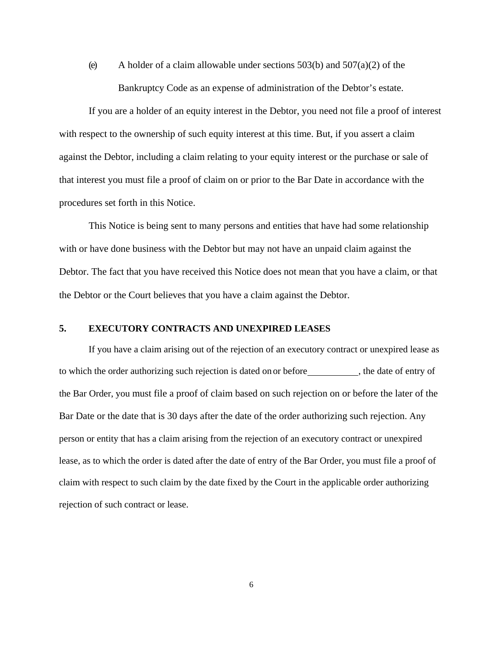(e) A holder of a claim allowable under sections  $503(b)$  and  $507(a)(2)$  of the Bankruptcy Code as an expense of administration of the Debtor's estate.

If you are a holder of an equity interest in the Debtor, you need not file a proof of interest with respect to the ownership of such equity interest at this time. But, if you assert a claim against the Debtor, including a claim relating to your equity interest or the purchase or sale of that interest you must file a proof of claim on or prior to the Bar Date in accordance with the procedures set forth in this Notice.

This Notice is being sent to many persons and entities that have had some relationship with or have done business with the Debtor but may not have an unpaid claim against the Debtor. The fact that you have received this Notice does not mean that you have a claim, or that the Debtor or the Court believes that you have a claim against the Debtor.

#### **5. EXECUTORY CONTRACTS AND UNEXPIRED LEASES**

If you have a claim arising out of the rejection of an executory contract or unexpired lease as to which the order authorizing such rejection is dated on or before , the date of entry of the Bar Order, you must file a proof of claim based on such rejection on or before the later of the Bar Date or the date that is 30 days after the date of the order authorizing such rejection. Any person or entity that has a claim arising from the rejection of an executory contract or unexpired lease, as to which the order is dated after the date of entry of the Bar Order, you must file a proof of claim with respect to such claim by the date fixed by the Court in the applicable order authorizing rejection of such contract or lease.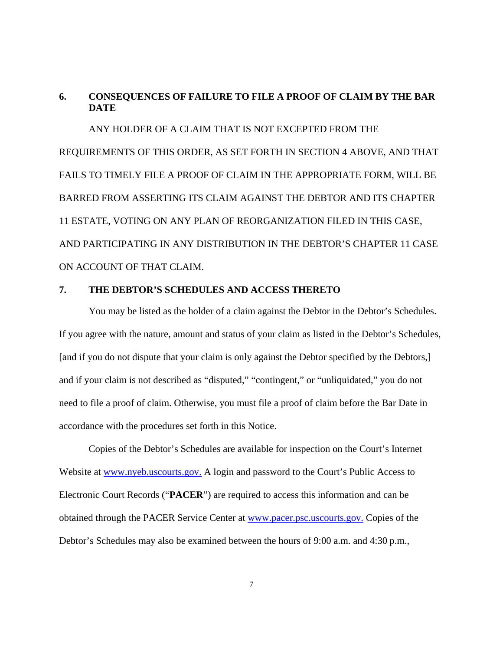## **6. CONSEQUENCES OF FAILURE TO FILE A PROOF OF CLAIM BY THE BAR DATE**

ANY HOLDER OF A CLAIM THAT IS NOT EXCEPTED FROM THE REQUIREMENTS OF THIS ORDER, AS SET FORTH IN SECTION 4 ABOVE, AND THAT FAILS TO TIMELY FILE A PROOF OF CLAIM IN THE APPROPRIATE FORM, WILL BE BARRED FROM ASSERTING ITS CLAIM AGAINST THE DEBTOR AND ITS CHAPTER 11 ESTATE, VOTING ON ANY PLAN OF REORGANIZATION FILED IN THIS CASE, AND PARTICIPATING IN ANY DISTRIBUTION IN THE DEBTOR'S CHAPTER 11 CASE ON ACCOUNT OF THAT CLAIM.

#### **7. THE DEBTOR'S SCHEDULES AND ACCESS THERETO**

You may be listed as the holder of a claim against the Debtor in the Debtor's Schedules. If you agree with the nature, amount and status of your claim as listed in the Debtor's Schedules, [and if you do not dispute that your claim is only against the Debtor specified by the Debtors,] and if your claim is not described as "disputed," "contingent," or "unliquidated," you do not need to file a proof of claim. Otherwise, you must file a proof of claim before the Bar Date in accordance with the procedures set forth in this Notice.

Copies of the Debtor's Schedules are available for inspection on the Court's Internet Website at www.nyeb.uscourts.gov. A login and password to the Court's Public Access to Electronic Court Records ("**PACER**") are required to access this information and can be obtained through the PACER Service Center at www.pacer.psc.uscourts.gov. Copies of the Debtor's Schedules may also be examined between the hours of 9:00 a.m. and 4:30 p.m.,